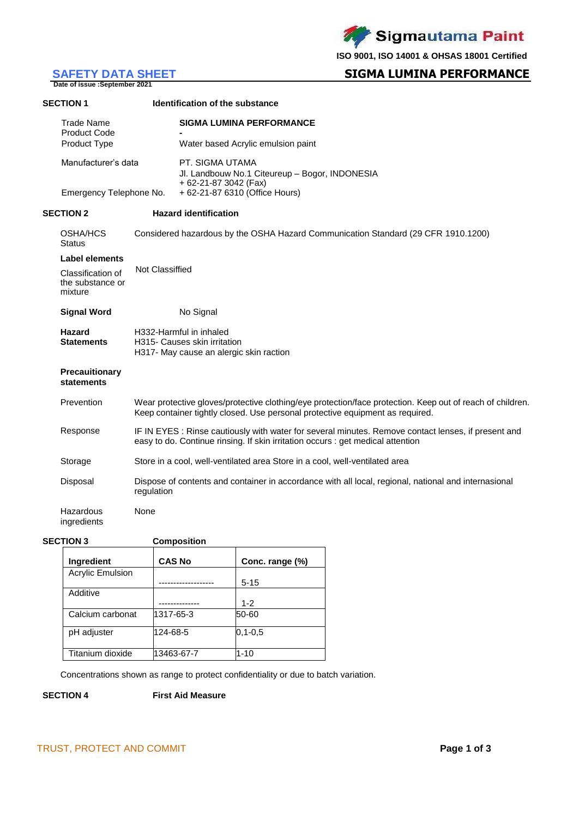Sigmautama Paint

**ISO 9001, ISO 14001 & OHSAS 18001 Certified**

# **SAFETY DATA SHEET**<br>Date of issue :September 2021

## **SIGMA LUMINA PERFORMANCE**

| <b>SECTION 1</b> |                                                                                        |                 | Identification of the substance                                                                           |
|------------------|----------------------------------------------------------------------------------------|-----------------|-----------------------------------------------------------------------------------------------------------|
|                  | <b>Trade Name</b><br><b>Product Code</b><br><b>Product Type</b><br>Manufacturer's data |                 | <b>SIGMA LUMINA PERFORMANCE</b><br>Water based Acrylic emulsion paint                                     |
|                  |                                                                                        |                 | PT. SIGMA UTAMA<br>Jl. Landbouw No.1 Citeureup - Bogor, INDONESIA<br>+ 62-21-87 3042 (Fax)                |
|                  | Emergency Telephone No.                                                                |                 | + 62-21-87 6310 (Office Hours)                                                                            |
| <b>SECTION 2</b> |                                                                                        |                 | <b>Hazard identification</b>                                                                              |
|                  | <b>OSHA/HCS</b><br><b>Status</b>                                                       |                 | Considered hazardous by the OSHA Hazard Communication Standard (29 CFR 1910.1200)                         |
|                  | Label elements                                                                         | Not Classiffied |                                                                                                           |
|                  | Classification of<br>the substance or<br>mixture                                       |                 |                                                                                                           |
|                  | <b>Signal Word</b>                                                                     |                 | No Signal                                                                                                 |
|                  | Hazard<br><b>Statements</b>                                                            |                 | H332-Harmful in inhaled<br>H315- Causes skin irritation<br>H317- May cause an alergic skin raction        |
|                  | <b>Precauitionary</b><br>statements                                                    |                 |                                                                                                           |
|                  | Prevention                                                                             |                 | Wear protective gloves/protective clothing/eye protection/face protection. Keep out of reach of children. |

| Response | IF IN EYES: Rinse cautiously with water for several minutes. Remove contact lenses, if present and |
|----------|----------------------------------------------------------------------------------------------------|
|          | easy to do. Continue rinsing. If skin irritation occurs : get medical attention                    |

Keep container tightly closed. Use personal protective equipment as required.

| Storage<br>Store in a cool, well-ventilated area Store in a cool, well-ventilated area |
|----------------------------------------------------------------------------------------|
|----------------------------------------------------------------------------------------|

Disposal Dispose of contents and container in accordance with all local, regional, national and internasional regulation

Hazardous ingredients

#### **SECTION 3 Composition**

None

| Ingredient              | <b>CAS No</b> | Conc. range (%) |
|-------------------------|---------------|-----------------|
| <b>Acrylic Emulsion</b> |               |                 |
|                         |               | $5 - 15$        |
| Additive                |               |                 |
|                         |               | $1 - 2$         |
| Calcium carbonat        | 1317-65-3     | 50-60           |
| pH adjuster             | 124-68-5      | $0, 1 - 0, 5$   |
| Titanium dioxide        | 13463-67-7    | $1 - 10$        |

Concentrations shown as range to protect confidentiality or due to batch variation.

**SECTION 4 First Aid Measure**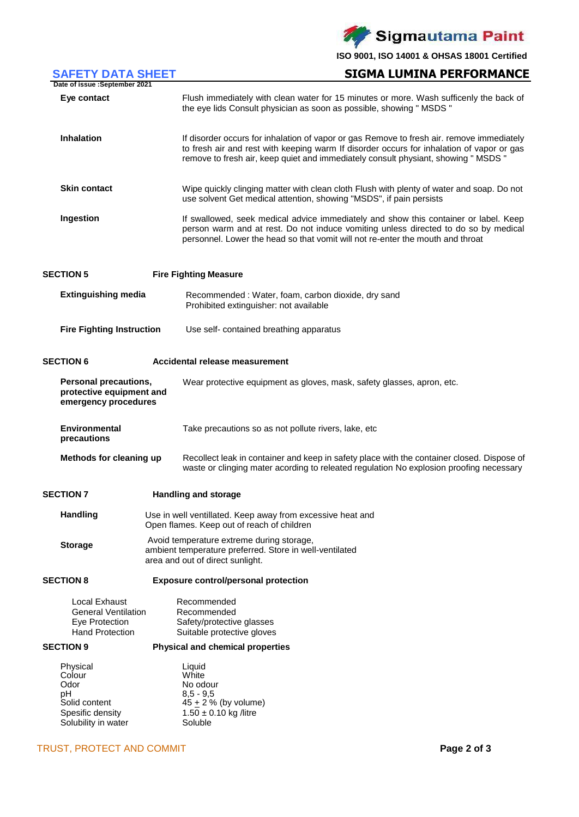Sigmautama Paint

**ISO 9001, ISO 14001 & OHSAS 18001 Certified**

| <b>SAFETY DATA SHEET</b>                                                                     | <b>SIGMA LUMINA PERFORMANCE</b>                                                                                                                                                                                                                                              |
|----------------------------------------------------------------------------------------------|------------------------------------------------------------------------------------------------------------------------------------------------------------------------------------------------------------------------------------------------------------------------------|
| Date of issue : September 2021                                                               |                                                                                                                                                                                                                                                                              |
| Eye contact                                                                                  | Flush immediately with clean water for 15 minutes or more. Wash sufficenly the back of<br>the eye lids Consult physician as soon as possible, showing " MSDS "                                                                                                               |
| <b>Inhalation</b>                                                                            | If disorder occurs for inhalation of vapor or gas Remove to fresh air. remove immediately<br>to fresh air and rest with keeping warm If disorder occurs for inhalation of vapor or gas<br>remove to fresh air, keep quiet and immediately consult physiant, showing " MSDS " |
| <b>Skin contact</b>                                                                          | Wipe quickly clinging matter with clean cloth Flush with plenty of water and soap. Do not<br>use solvent Get medical attention, showing "MSDS", if pain persists                                                                                                             |
| Ingestion                                                                                    | If swallowed, seek medical advice immediately and show this container or label. Keep<br>person warm and at rest. Do not induce vomiting unless directed to do so by medical<br>personnel. Lower the head so that vomit will not re-enter the mouth and throat                |
| <b>SECTION 5</b>                                                                             | <b>Fire Fighting Measure</b>                                                                                                                                                                                                                                                 |
| <b>Extinguishing media</b>                                                                   | Recommended: Water, foam, carbon dioxide, dry sand<br>Prohibited extinguisher: not available                                                                                                                                                                                 |
| <b>Fire Fighting Instruction</b>                                                             | Use self- contained breathing apparatus                                                                                                                                                                                                                                      |
| <b>SECTION 6</b>                                                                             | Accidental release measurement                                                                                                                                                                                                                                               |
| Personal precautions,<br>protective equipment and<br>emergency procedures                    | Wear protective equipment as gloves, mask, safety glasses, apron, etc.                                                                                                                                                                                                       |
| <b>Environmental</b><br>precautions                                                          | Take precautions so as not pollute rivers, lake, etc                                                                                                                                                                                                                         |
| Methods for cleaning up                                                                      | Recollect leak in container and keep in safety place with the container closed. Dispose of<br>waste or clinging mater acording to releated regulation No explosion proofing necessary                                                                                        |
| <b>SECTION 7</b>                                                                             | <b>Handling and storage</b>                                                                                                                                                                                                                                                  |
| <b>Handling</b>                                                                              | Use in well ventillated. Keep away from excessive heat and<br>Open flames. Keep out of reach of children                                                                                                                                                                     |
| <b>Storage</b>                                                                               | Avoid temperature extreme during storage,<br>ambient temperature preferred. Store in well-ventilated<br>area and out of direct sunlight.                                                                                                                                     |
| <b>SECTION 8</b>                                                                             | <b>Exposure control/personal protection</b>                                                                                                                                                                                                                                  |
| Local Exhaust<br><b>General Ventilation</b><br>Eye Protection<br><b>Hand Protection</b>      | Recommended<br>Recommended<br>Safety/protective glasses<br>Suitable protective gloves                                                                                                                                                                                        |
| <b>SECTION 9</b>                                                                             | Physical and chemical properties                                                                                                                                                                                                                                             |
| Physical<br>Colour<br>Odor<br>рH<br>Solid content<br>Spesific density<br>Solubility in water | Liquid<br>White<br>No odour<br>$8,5 - 9,5$<br>$45 \pm 2$ % (by volume)<br>$1.50 \pm 0.10$ kg /litre<br>Soluble                                                                                                                                                               |